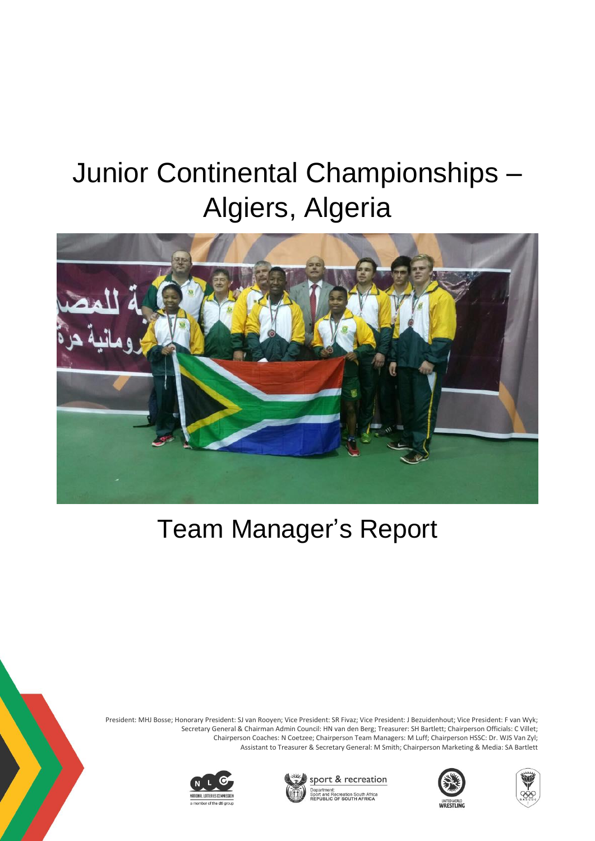# Junior Continental Championships – Algiers, Algeria



## Team Manager's Report

President: MHJ Bosse; Honorary President: SJ van Rooyen; Vice President: SR Fivaz; Vice President: J Bezuidenhout; Vice President: F van Wyk; Secretary General & Chairman Admin Council: HN van den Berg; Treasurer: SH Bartlett; Chairperson Officials: C Villet; Chairperson Coaches: N Coetzee; Chairperson Team Managers: M Luff; Chairperson HSSC: Dr. WJS Van Zyl; Assistant to Treasurer & Secretary General: M Smith; Chairperson Marketing & Media: SA Bartlett

> port & recreation reation South Afric<br>F SOUTH AFRICA





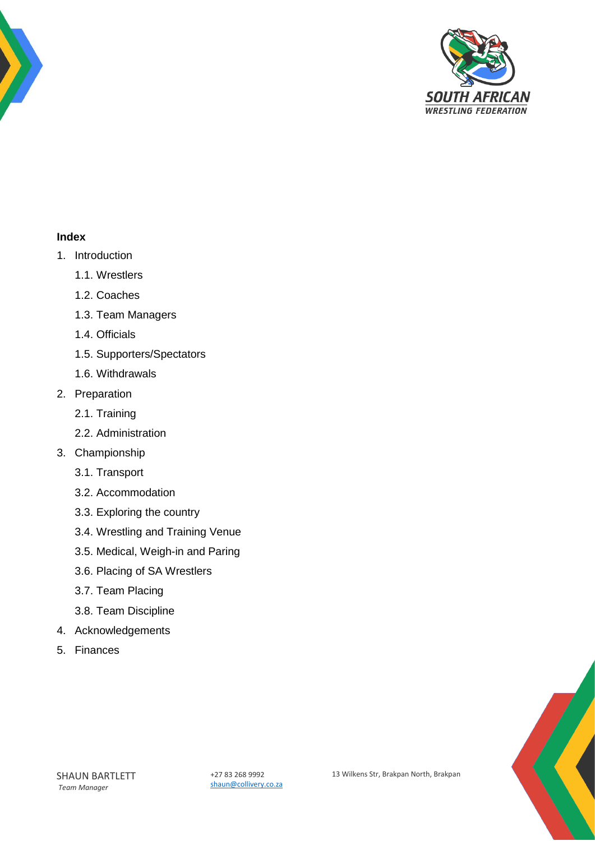



## **Index**

- 1. Introduction
	- 1.1. Wrestlers
	- 1.2. Coaches
	- 1.3. Team Managers
	- 1.4. Officials
	- 1.5. Supporters/Spectators
	- 1.6. Withdrawals
- 2. Preparation
	- 2.1. Training
	- 2.2. Administration
- 3. Championship
	- 3.1. Transport
	- 3.2. Accommodation
	- 3.3. Exploring the country
	- 3.4. Wrestling and Training Venue
	- 3.5. Medical, Weigh-in and Paring
	- 3.6. Placing of SA Wrestlers
	- 3.7. Team Placing
	- 3.8. Team Discipline
- 4. Acknowledgements
- 5. Finances

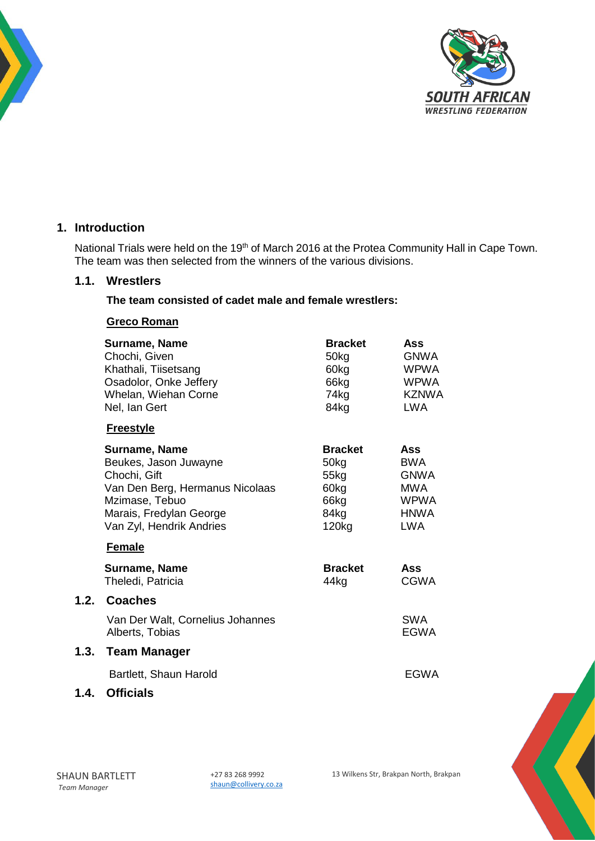



#### **1. Introduction**

National Trials were held on the 19<sup>th</sup> of March 2016 at the Protea Community Hall in Cape Town. The team was then selected from the winners of the various divisions.

#### **1.1. Wrestlers**

**Greco Roman**

#### **The team consisted of cadet male and female wrestlers:**

|      | Surname, Name<br>Chochi, Given<br>Khathali, Tiisetsang<br>Osadolor, Onke Jeffery<br>Whelan, Wiehan Corne<br>Nel, Ian Gert                                          | <b>Bracket</b><br>50 <sub>kg</sub><br>60kg<br>66kg<br>74kg<br>84kg | Ass<br><b>GNWA</b><br><b>WPWA</b><br><b>WPWA</b><br><b>KZNWA</b><br><b>LWA</b>                    |  |  |  |  |  |  |  |  |  |  |
|------|--------------------------------------------------------------------------------------------------------------------------------------------------------------------|--------------------------------------------------------------------|---------------------------------------------------------------------------------------------------|--|--|--|--|--|--|--|--|--|--|
|      | <b>Freestyle</b>                                                                                                                                                   |                                                                    |                                                                                                   |  |  |  |  |  |  |  |  |  |  |
|      | Surname, Name<br>Beukes, Jason Juwayne<br>Chochi, Gift<br>Van Den Berg, Hermanus Nicolaas<br>Mzimase, Tebuo<br>Marais, Fredylan George<br>Van Zyl, Hendrik Andries | <b>Bracket</b><br>50kg<br>55kg<br>60kg<br>66kg<br>84kg<br>120kg    | <b>Ass</b><br><b>BWA</b><br><b>GNWA</b><br><b>MWA</b><br><b>WPWA</b><br><b>HNWA</b><br><b>LWA</b> |  |  |  |  |  |  |  |  |  |  |
|      | <b>Female</b>                                                                                                                                                      |                                                                    |                                                                                                   |  |  |  |  |  |  |  |  |  |  |
|      | Surname, Name<br>Theledi, Patricia                                                                                                                                 | <b>Bracket</b><br>44kg                                             | Ass<br><b>CGWA</b>                                                                                |  |  |  |  |  |  |  |  |  |  |
|      | 1.2. Coaches                                                                                                                                                       |                                                                    |                                                                                                   |  |  |  |  |  |  |  |  |  |  |
|      | Van Der Walt, Cornelius Johannes<br>Alberts, Tobias                                                                                                                |                                                                    | <b>SWA</b><br><b>EGWA</b>                                                                         |  |  |  |  |  |  |  |  |  |  |
| 1.3. | <b>Team Manager</b>                                                                                                                                                |                                                                    |                                                                                                   |  |  |  |  |  |  |  |  |  |  |
|      | Bartlett, Shaun Harold                                                                                                                                             |                                                                    | <b>EGWA</b>                                                                                       |  |  |  |  |  |  |  |  |  |  |

**1.4. Officials**

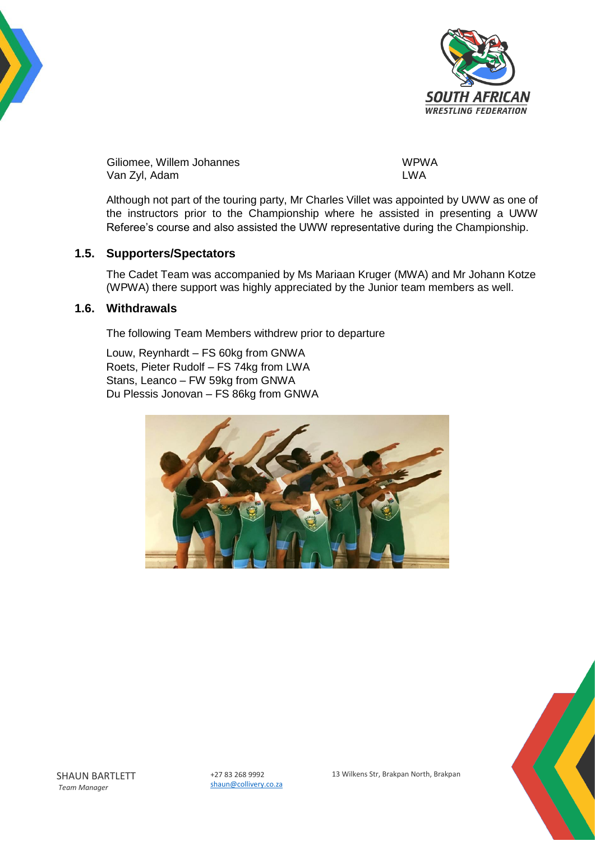



Giliomee, Willem Johannes WPWA Van Zyl, Adam LWA

Although not part of the touring party, Mr Charles Villet was appointed by UWW as one of the instructors prior to the Championship where he assisted in presenting a UWW Referee's course and also assisted the UWW representative during the Championship.

## **1.5. Supporters/Spectators**

The Cadet Team was accompanied by Ms Mariaan Kruger (MWA) and Mr Johann Kotze (WPWA) there support was highly appreciated by the Junior team members as well.

#### **1.6. Withdrawals**

The following Team Members withdrew prior to departure

Louw, Reynhardt – FS 60kg from GNWA Roets, Pieter Rudolf – FS 74kg from LWA Stans, Leanco – FW 59kg from GNWA Du Plessis Jonovan – FS 86kg from GNWA



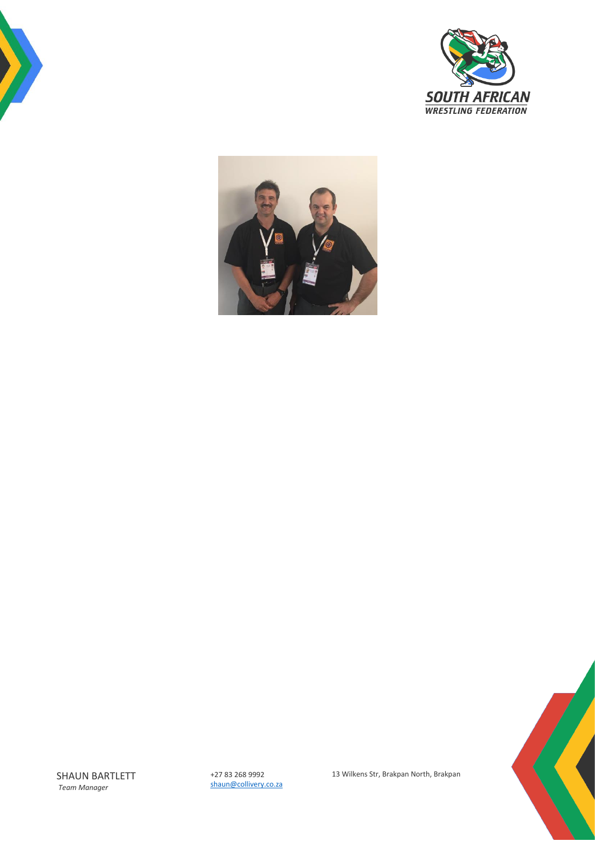







SHAUN BARTLETT *Team Manager*

+27 83 268 9992 shaun@collivery.co.za 13 Wilkens Str, Brakpan North, Brakpan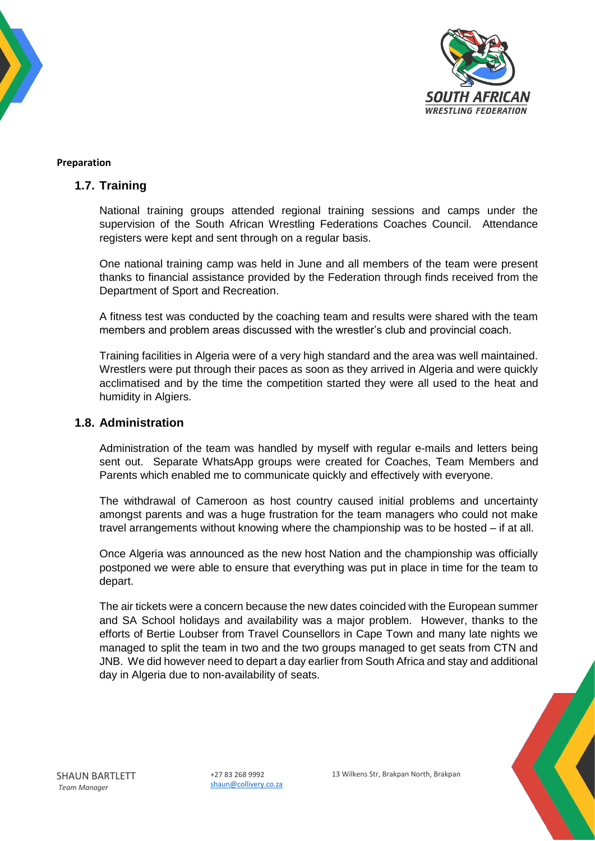



#### **Preparation**

## **1.7. Training**

National training groups attended regional training sessions and camps under the supervision of the South African Wrestling Federations Coaches Council. Attendance registers were kept and sent through on a regular basis.

One national training camp was held in June and all members of the team were present thanks to financial assistance provided by the Federation through finds received from the Department of Sport and Recreation.

A fitness test was conducted by the coaching team and results were shared with the team members and problem areas discussed with the wrestler's club and provincial coach.

Training facilities in Algeria were of a very high standard and the area was well maintained. Wrestlers were put through their paces as soon as they arrived in Algeria and were quickly acclimatised and by the time the competition started they were all used to the heat and humidity in Algiers.

#### **1.8. Administration**

Administration of the team was handled by myself with regular e-mails and letters being sent out. Separate WhatsApp groups were created for Coaches, Team Members and Parents which enabled me to communicate quickly and effectively with everyone.

The withdrawal of Cameroon as host country caused initial problems and uncertainty amongst parents and was a huge frustration for the team managers who could not make travel arrangements without knowing where the championship was to be hosted – if at all.

Once Algeria was announced as the new host Nation and the championship was officially postponed we were able to ensure that everything was put in place in time for the team to depart.

The air tickets were a concern because the new dates coincided with the European summer and SA School holidays and availability was a major problem. However, thanks to the efforts of Bertie Loubser from Travel Counsellors in Cape Town and many late nights we managed to split the team in two and the two groups managed to get seats from CTN and JNB. We did however need to depart a day earlier from South Africa and stay and additional day in Algeria due to non-availability of seats.

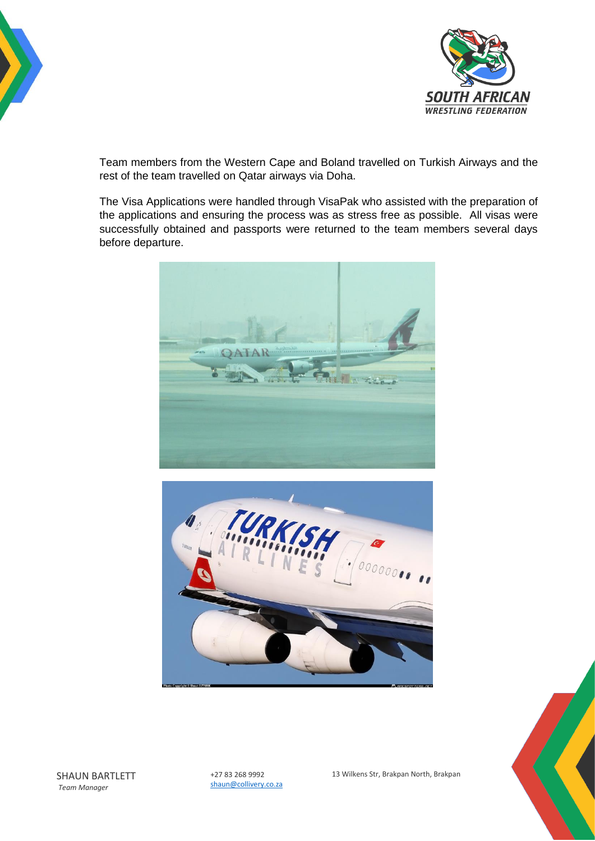



Team members from the Western Cape and Boland travelled on Turkish Airways and the rest of the team travelled on Qatar airways via Doha.

The Visa Applications were handled through VisaPak who assisted with the preparation of the applications and ensuring the process was as stress free as possible. All visas were successfully obtained and passports were returned to the team members several days before departure.







SHAUN BARTLETT *Team Manager*

+27 83 268 9992 shaun@collivery.co.za 13 Wilkens Str, Brakpan North, Brakpan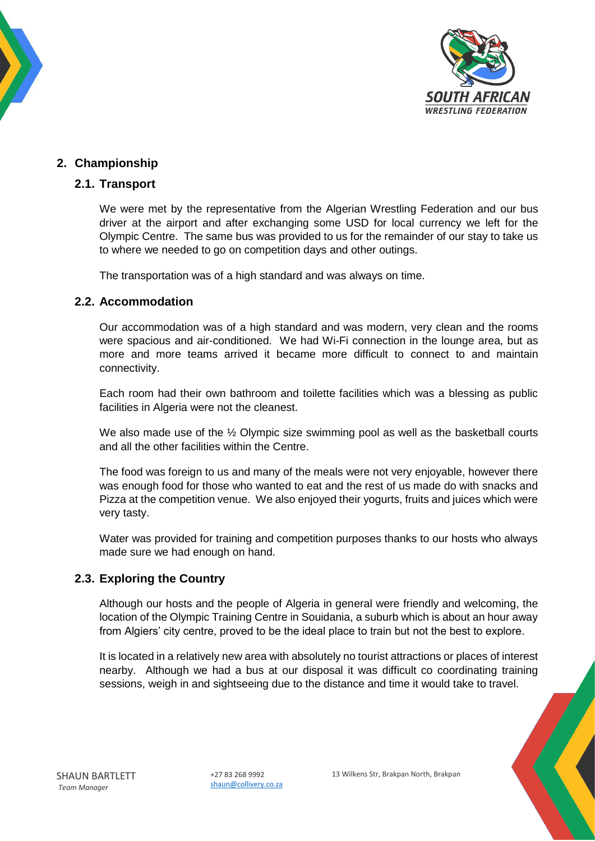



## **2. Championship**

## **2.1. Transport**

We were met by the representative from the Algerian Wrestling Federation and our bus driver at the airport and after exchanging some USD for local currency we left for the Olympic Centre. The same bus was provided to us for the remainder of our stay to take us to where we needed to go on competition days and other outings.

The transportation was of a high standard and was always on time.

## **2.2. Accommodation**

Our accommodation was of a high standard and was modern, very clean and the rooms were spacious and air-conditioned. We had Wi-Fi connection in the lounge area, but as more and more teams arrived it became more difficult to connect to and maintain connectivity.

Each room had their own bathroom and toilette facilities which was a blessing as public facilities in Algeria were not the cleanest.

We also made use of the <sup>1/2</sup> Olympic size swimming pool as well as the basketball courts and all the other facilities within the Centre.

The food was foreign to us and many of the meals were not very enjoyable, however there was enough food for those who wanted to eat and the rest of us made do with snacks and Pizza at the competition venue. We also enjoyed their yogurts, fruits and juices which were very tasty.

Water was provided for training and competition purposes thanks to our hosts who always made sure we had enough on hand.

## **2.3. Exploring the Country**

Although our hosts and the people of Algeria in general were friendly and welcoming, the location of the Olympic Training Centre in Souidania, a suburb which is about an hour away from Algiers' city centre, proved to be the ideal place to train but not the best to explore.

It is located in a relatively new area with absolutely no tourist attractions or places of interest nearby. Although we had a bus at our disposal it was difficult co coordinating training sessions, weigh in and sightseeing due to the distance and time it would take to travel.

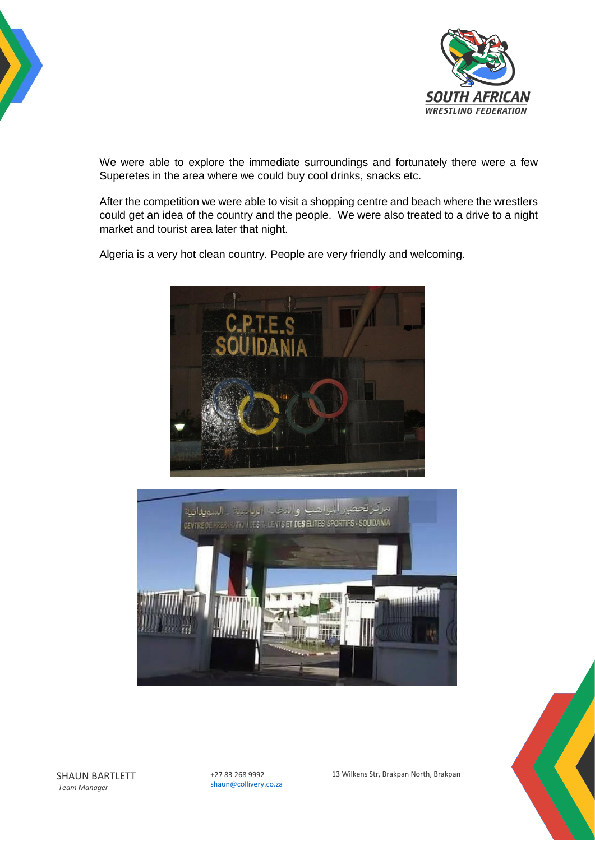



We were able to explore the immediate surroundings and fortunately there were a few Superetes in the area where we could buy cool drinks, snacks etc.

After the competition we were able to visit a shopping centre and beach where the wrestlers could get an idea of the country and the people. We were also treated to a drive to a night market and tourist area later that night.

Algeria is a very hot clean country. People are very friendly and welcoming.







SHAUN BARTLETT *Team Manager*

+27 83 268 9992 shaun@collivery.co.za 13 Wilkens Str, Brakpan North, Brakpan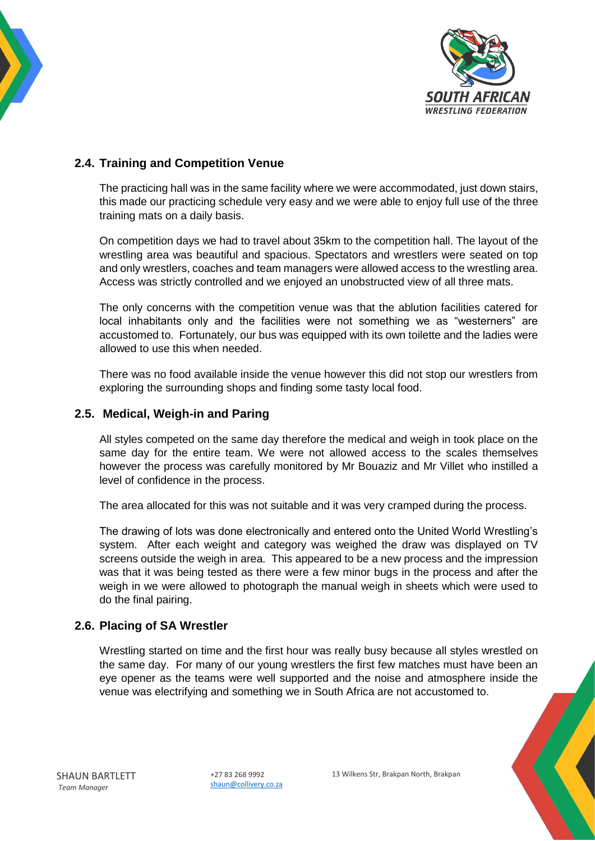



## **2.4. Training and Competition Venue**

The practicing hall was in the same facility where we were accommodated, just down stairs, this made our practicing schedule very easy and we were able to enjoy full use of the three training mats on a daily basis.

On competition days we had to travel about 35km to the competition hall. The layout of the wrestling area was beautiful and spacious. Spectators and wrestlers were seated on top and only wrestlers, coaches and team managers were allowed access to the wrestling area. Access was strictly controlled and we enjoyed an unobstructed view of all three mats.

The only concerns with the competition venue was that the ablution facilities catered for local inhabitants only and the facilities were not something we as "westerners" are accustomed to. Fortunately, our bus was equipped with its own toilette and the ladies were allowed to use this when needed.

There was no food available inside the venue however this did not stop our wrestlers from exploring the surrounding shops and finding some tasty local food.

## **2.5. Medical, Weigh-in and Paring**

All styles competed on the same day therefore the medical and weigh in took place on the same day for the entire team. We were not allowed access to the scales themselves however the process was carefully monitored by Mr Bouaziz and Mr Villet who instilled a level of confidence in the process.

The area allocated for this was not suitable and it was very cramped during the process.

The drawing of lots was done electronically and entered onto the United World Wrestling's system. After each weight and category was weighed the draw was displayed on TV screens outside the weigh in area. This appeared to be a new process and the impression was that it was being tested as there were a few minor bugs in the process and after the weigh in we were allowed to photograph the manual weigh in sheets which were used to do the final pairing.

## **2.6. Placing of SA Wrestler**

Wrestling started on time and the first hour was really busy because all styles wrestled on the same day. For many of our young wrestlers the first few matches must have been an eye opener as the teams were well supported and the noise and atmosphere inside the venue was electrifying and something we in South Africa are not accustomed to.

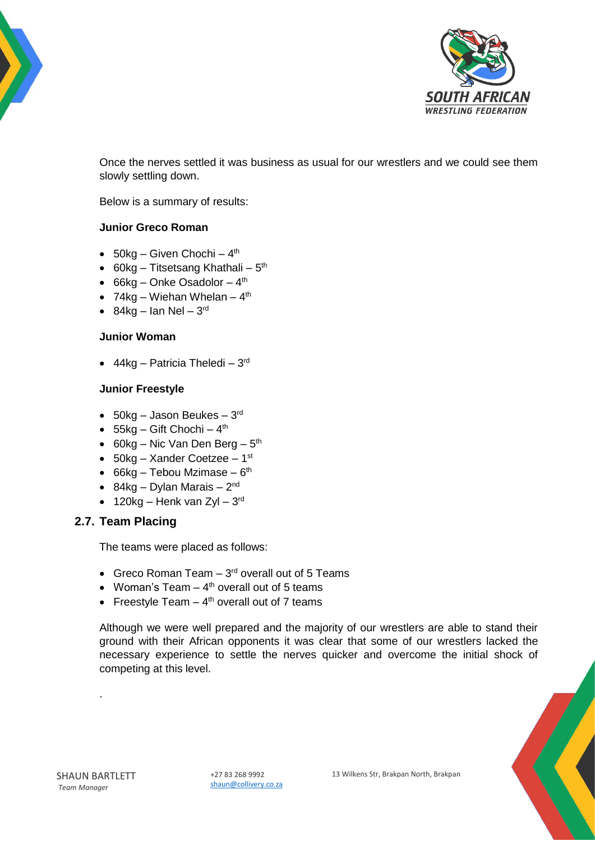



Once the nerves settled it was business as usual for our wrestlers and we could see them slowly settling down.

Below is a summary of results:

#### **Junior Greco Roman**

- $50kg Given Chochi 4<sup>th</sup>$
- 60kg Titsetsang Khathali  $5<sup>th</sup>$
- 66kg Onke Osadolor  $4<sup>th</sup>$
- 74kg Wiehan Whelan  $4<sup>th</sup>$
- $84kg lan Nel 3<sup>rd</sup>$

#### **Junior Woman**

•  $44kg -$  Patricia Theledi –  $3<sup>rd</sup>$ 

#### **Junior Freestyle**

- $50kg -$  Jason Beukes  $-3^{rd}$
- $55kg Gift Chochi 4<sup>th</sup>$
- 60kg Nic Van Den Berg  $5<sup>th</sup>$
- $50kg Xander Coetzee 1<sup>st</sup>$
- 66kg Tebou Mzimase 6<sup>th</sup>
- 84kg Dylan Marais 2<sup>nd</sup>
- 120 $kg$  Henk van Zyl 3<sup>rd</sup>

#### **2.7. Team Placing**

The teams were placed as follows:

- Greco Roman Team  $-3<sup>rd</sup>$  overall out of 5 Teams
- Woman's Team  $-4<sup>th</sup>$  overall out of 5 teams
- Freestyle Team  $-$  4<sup>th</sup> overall out of 7 teams

Although we were well prepared and the majority of our wrestlers are able to stand their ground with their African opponents it was clear that some of our wrestlers lacked the necessary experience to settle the nerves quicker and overcome the initial shock of competing at this level.



.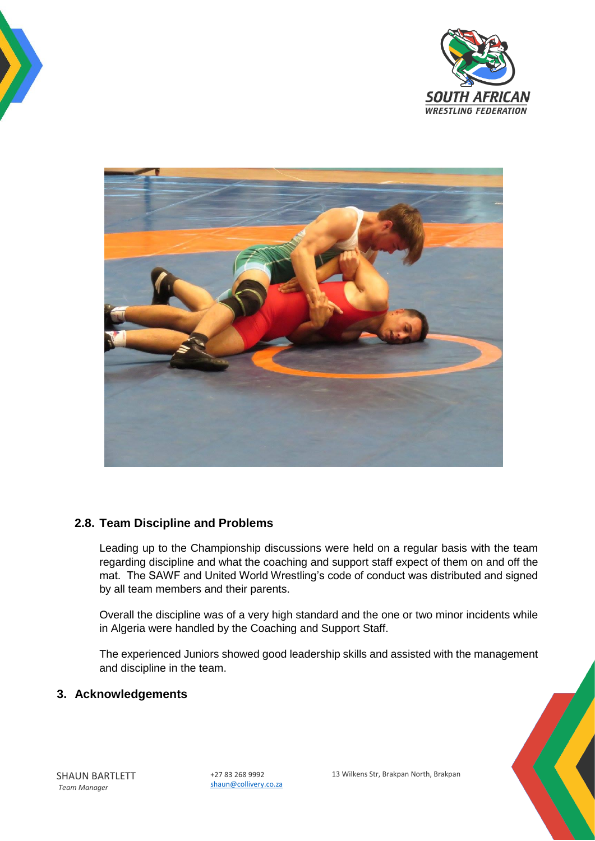





## **2.8. Team Discipline and Problems**

Leading up to the Championship discussions were held on a regular basis with the team regarding discipline and what the coaching and support staff expect of them on and off the mat. The SAWF and United World Wrestling's code of conduct was distributed and signed by all team members and their parents.

Overall the discipline was of a very high standard and the one or two minor incidents while in Algeria were handled by the Coaching and Support Staff.

The experienced Juniors showed good leadership skills and assisted with the management and discipline in the team.

## **3. Acknowledgements**

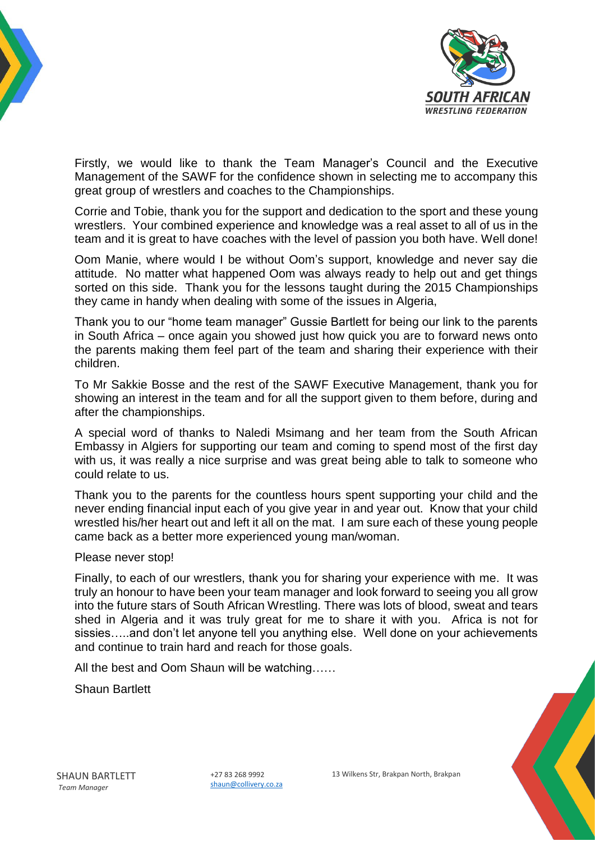



Firstly, we would like to thank the Team Manager's Council and the Executive Management of the SAWF for the confidence shown in selecting me to accompany this great group of wrestlers and coaches to the Championships.

Corrie and Tobie, thank you for the support and dedication to the sport and these young wrestlers. Your combined experience and knowledge was a real asset to all of us in the team and it is great to have coaches with the level of passion you both have. Well done!

Oom Manie, where would I be without Oom's support, knowledge and never say die attitude. No matter what happened Oom was always ready to help out and get things sorted on this side. Thank you for the lessons taught during the 2015 Championships they came in handy when dealing with some of the issues in Algeria,

Thank you to our "home team manager" Gussie Bartlett for being our link to the parents in South Africa – once again you showed just how quick you are to forward news onto the parents making them feel part of the team and sharing their experience with their children.

To Mr Sakkie Bosse and the rest of the SAWF Executive Management, thank you for showing an interest in the team and for all the support given to them before, during and after the championships.

A special word of thanks to Naledi Msimang and her team from the South African Embassy in Algiers for supporting our team and coming to spend most of the first day with us, it was really a nice surprise and was great being able to talk to someone who could relate to us.

Thank you to the parents for the countless hours spent supporting your child and the never ending financial input each of you give year in and year out. Know that your child wrestled his/her heart out and left it all on the mat. I am sure each of these young people came back as a better more experienced young man/woman.

#### Please never stop!

Finally, to each of our wrestlers, thank you for sharing your experience with me. It was truly an honour to have been your team manager and look forward to seeing you all grow into the future stars of South African Wrestling. There was lots of blood, sweat and tears shed in Algeria and it was truly great for me to share it with you. Africa is not for sissies…..and don't let anyone tell you anything else. Well done on your achievements and continue to train hard and reach for those goals.

All the best and Oom Shaun will be watching……

Shaun Bartlett